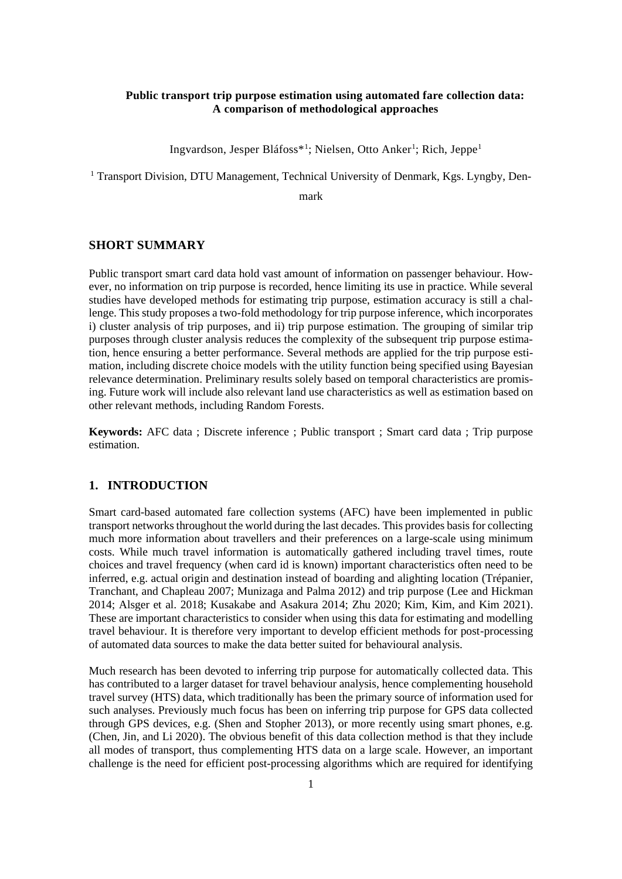### **Public transport trip purpose estimation using automated fare collection data: A comparison of methodological approaches**

Ingvardson, Jesper Bláfoss\*<sup>1</sup>; Nielsen, Otto Anker<sup>1</sup>; Rich, Jeppe<sup>1</sup>

<sup>1</sup> Transport Division, DTU Management, Technical University of Denmark, Kgs. Lyngby, Den-

mark

#### **SHORT SUMMARY**

Public transport smart card data hold vast amount of information on passenger behaviour. However, no information on trip purpose is recorded, hence limiting its use in practice. While several studies have developed methods for estimating trip purpose, estimation accuracy is still a challenge. This study proposes a two-fold methodology for trip purpose inference, which incorporates i) cluster analysis of trip purposes, and ii) trip purpose estimation. The grouping of similar trip purposes through cluster analysis reduces the complexity of the subsequent trip purpose estimation, hence ensuring a better performance. Several methods are applied for the trip purpose estimation, including discrete choice models with the utility function being specified using Bayesian relevance determination. Preliminary results solely based on temporal characteristics are promising. Future work will include also relevant land use characteristics as well as estimation based on other relevant methods, including Random Forests.

**Keywords:** AFC data ; Discrete inference ; Public transport ; Smart card data ; Trip purpose estimation.

# **1. INTRODUCTION**

Smart card-based automated fare collection systems (AFC) have been implemented in public transport networks throughout the world during the last decades. This provides basis for collecting much more information about travellers and their preferences on a large-scale using minimum costs. While much travel information is automatically gathered including travel times, route choices and travel frequency (when card id is known) important characteristics often need to be inferred, e.g. actual origin and destination instead of boarding and alighting location (Trépanier, Tranchant, and Chapleau 2007; Munizaga and Palma 2012) and trip purpose (Lee and Hickman 2014; Alsger et al. 2018; Kusakabe and Asakura 2014; Zhu 2020; Kim, Kim, and Kim 2021). These are important characteristics to consider when using this data for estimating and modelling travel behaviour. It is therefore very important to develop efficient methods for post-processing of automated data sources to make the data better suited for behavioural analysis.

Much research has been devoted to inferring trip purpose for automatically collected data. This has contributed to a larger dataset for travel behaviour analysis, hence complementing household travel survey (HTS) data, which traditionally has been the primary source of information used for such analyses. Previously much focus has been on inferring trip purpose for GPS data collected through GPS devices, e.g. (Shen and Stopher 2013), or more recently using smart phones, e.g. (Chen, Jin, and Li 2020). The obvious benefit of this data collection method is that they include all modes of transport, thus complementing HTS data on a large scale. However, an important challenge is the need for efficient post-processing algorithms which are required for identifying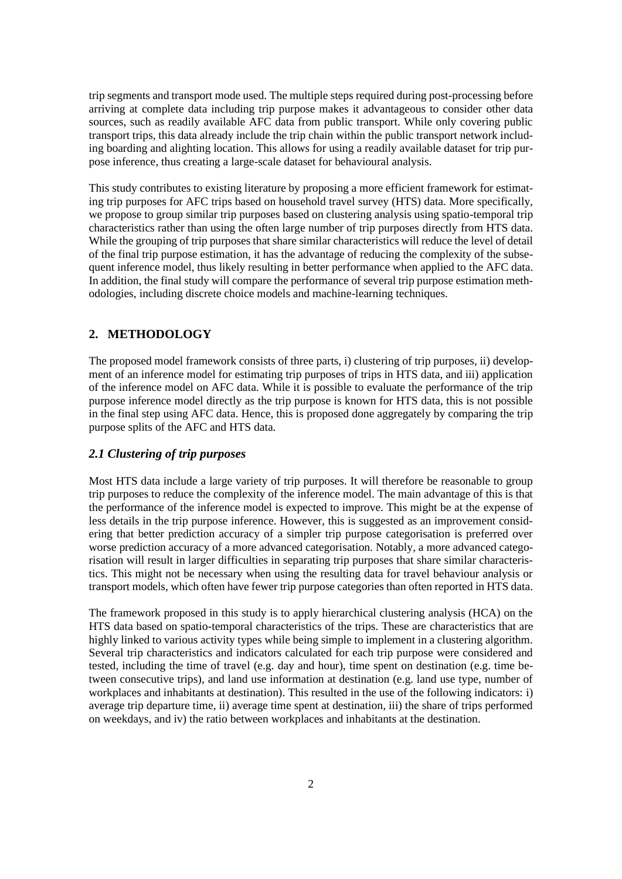trip segments and transport mode used. The multiple steps required during post-processing before arriving at complete data including trip purpose makes it advantageous to consider other data sources, such as readily available AFC data from public transport. While only covering public transport trips, this data already include the trip chain within the public transport network including boarding and alighting location. This allows for using a readily available dataset for trip purpose inference, thus creating a large-scale dataset for behavioural analysis.

This study contributes to existing literature by proposing a more efficient framework for estimating trip purposes for AFC trips based on household travel survey (HTS) data. More specifically, we propose to group similar trip purposes based on clustering analysis using spatio-temporal trip characteristics rather than using the often large number of trip purposes directly from HTS data. While the grouping of trip purposes that share similar characteristics will reduce the level of detail of the final trip purpose estimation, it has the advantage of reducing the complexity of the subsequent inference model, thus likely resulting in better performance when applied to the AFC data. In addition, the final study will compare the performance of several trip purpose estimation methodologies, including discrete choice models and machine-learning techniques.

## **2. METHODOLOGY**

The proposed model framework consists of three parts, i) clustering of trip purposes, ii) development of an inference model for estimating trip purposes of trips in HTS data, and iii) application of the inference model on AFC data. While it is possible to evaluate the performance of the trip purpose inference model directly as the trip purpose is known for HTS data, this is not possible in the final step using AFC data. Hence, this is proposed done aggregately by comparing the trip purpose splits of the AFC and HTS data.

## *2.1 Clustering of trip purposes*

Most HTS data include a large variety of trip purposes. It will therefore be reasonable to group trip purposes to reduce the complexity of the inference model. The main advantage of this is that the performance of the inference model is expected to improve. This might be at the expense of less details in the trip purpose inference. However, this is suggested as an improvement considering that better prediction accuracy of a simpler trip purpose categorisation is preferred over worse prediction accuracy of a more advanced categorisation. Notably, a more advanced categorisation will result in larger difficulties in separating trip purposes that share similar characteristics. This might not be necessary when using the resulting data for travel behaviour analysis or transport models, which often have fewer trip purpose categories than often reported in HTS data.

The framework proposed in this study is to apply hierarchical clustering analysis (HCA) on the HTS data based on spatio-temporal characteristics of the trips. These are characteristics that are highly linked to various activity types while being simple to implement in a clustering algorithm. Several trip characteristics and indicators calculated for each trip purpose were considered and tested, including the time of travel (e.g. day and hour), time spent on destination (e.g. time between consecutive trips), and land use information at destination (e.g. land use type, number of workplaces and inhabitants at destination). This resulted in the use of the following indicators: i) average trip departure time, ii) average time spent at destination, iii) the share of trips performed on weekdays, and iv) the ratio between workplaces and inhabitants at the destination.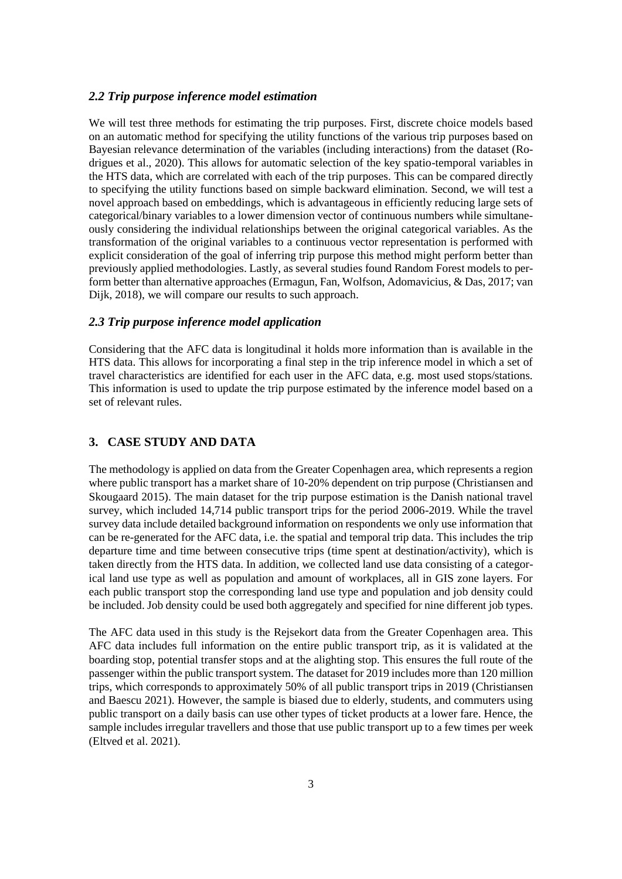### *2.2 Trip purpose inference model estimation*

We will test three methods for estimating the trip purposes. First, discrete choice models based on an automatic method for specifying the utility functions of the various trip purposes based on Bayesian relevance determination of the variables (including interactions) from the dataset (Rodrigues et al., 2020). This allows for automatic selection of the key spatio-temporal variables in the HTS data, which are correlated with each of the trip purposes. This can be compared directly to specifying the utility functions based on simple backward elimination. Second, we will test a novel approach based on embeddings, which is advantageous in efficiently reducing large sets of categorical/binary variables to a lower dimension vector of continuous numbers while simultaneously considering the individual relationships between the original categorical variables. As the transformation of the original variables to a continuous vector representation is performed with explicit consideration of the goal of inferring trip purpose this method might perform better than previously applied methodologies. Lastly, as several studies found Random Forest models to perform better than alternative approaches (Ermagun, Fan, Wolfson, Adomavicius, & Das, 2017; van Dijk, 2018), we will compare our results to such approach.

#### *2.3 Trip purpose inference model application*

Considering that the AFC data is longitudinal it holds more information than is available in the HTS data. This allows for incorporating a final step in the trip inference model in which a set of travel characteristics are identified for each user in the AFC data, e.g. most used stops/stations. This information is used to update the trip purpose estimated by the inference model based on a set of relevant rules.

## **3. CASE STUDY AND DATA**

The methodology is applied on data from the Greater Copenhagen area, which represents a region where public transport has a market share of 10-20% dependent on trip purpose (Christiansen and Skougaard 2015). The main dataset for the trip purpose estimation is the Danish national travel survey, which included 14,714 public transport trips for the period 2006-2019. While the travel survey data include detailed background information on respondents we only use information that can be re-generated for the AFC data, i.e. the spatial and temporal trip data. This includes the trip departure time and time between consecutive trips (time spent at destination/activity), which is taken directly from the HTS data. In addition, we collected land use data consisting of a categorical land use type as well as population and amount of workplaces, all in GIS zone layers. For each public transport stop the corresponding land use type and population and job density could be included. Job density could be used both aggregately and specified for nine different job types.

The AFC data used in this study is the Rejsekort data from the Greater Copenhagen area. This AFC data includes full information on the entire public transport trip, as it is validated at the boarding stop, potential transfer stops and at the alighting stop. This ensures the full route of the passenger within the public transport system. The dataset for 2019 includes more than 120 million trips, which corresponds to approximately 50% of all public transport trips in 2019 (Christiansen and Baescu 2021). However, the sample is biased due to elderly, students, and commuters using public transport on a daily basis can use other types of ticket products at a lower fare. Hence, the sample includes irregular travellers and those that use public transport up to a few times per week (Eltved et al. 2021).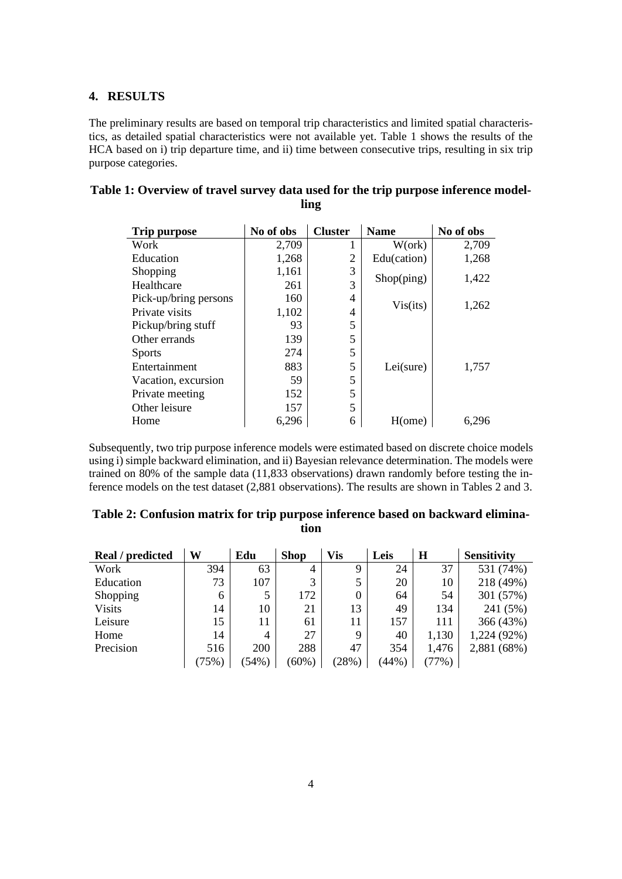#### **4. RESULTS**

The preliminary results are based on temporal trip characteristics and limited spatial characteristics, as detailed spatial characteristics were not available yet. Table 1 shows the results of the HCA based on i) trip departure time, and ii) time between consecutive trips, resulting in six trip purpose categories.

| <b>Trip purpose</b>   | No of obs | <b>Cluster</b> | <b>Name</b>          | No of obs |  |
|-----------------------|-----------|----------------|----------------------|-----------|--|
| Work                  | 2,709     | 1              | $W(\text{ork})$      | 2,709     |  |
| Education             | 1,268     | $\overline{2}$ | Edu(cation)          | 1,268     |  |
| Shopping              | 1,161     | 3              | $\text{Shop}($ ping) | 1,422     |  |
| Healthcare            | 261       | 3              |                      |           |  |
| Pick-up/bring persons | 160       | 4              | Vis(its)             | 1,262     |  |
| Private visits        | 1,102     | 4              |                      |           |  |
| Pickup/bring stuff    | 93        | 5              |                      |           |  |
| Other errands         | 139       | 5              |                      |           |  |
| <b>Sports</b>         | 274       | 5              |                      | 1,757     |  |
| Entertainment         | 883       | 5              | Lei(sure)            |           |  |
| Vacation, excursion   | 59        | 5              |                      |           |  |
| Private meeting       | 152       | 5              |                      |           |  |
| Other leisure         | 157       | 5              |                      |           |  |
| Home                  | 6,296     | 6              | H(ome)               | 6.296     |  |

| Table 1: Overview of travel survey data used for the trip purpose inference model- |      |  |  |
|------------------------------------------------------------------------------------|------|--|--|
|                                                                                    | ling |  |  |

Subsequently, two trip purpose inference models were estimated based on discrete choice models using i) simple backward elimination, and ii) Bayesian relevance determination. The models were trained on 80% of the sample data (11,833 observations) drawn randomly before testing the inference models on the test dataset (2,881 observations). The results are shown in Tables 2 and 3.

| Real / predicted | W     | Edu      | <b>Shop</b> | Vis   | Leis  | $\bf H$ | <b>Sensitivity</b> |
|------------------|-------|----------|-------------|-------|-------|---------|--------------------|
| Work             | 394   | 63       | 4           | 9     | 24    | 37      | 531 (74%)          |
| Education        | 73    | 107      | 3           | 5     | 20    | 10      | 218 (49%)          |
| Shopping         | 6     |          | 172         | 0     | 64    | 54      | 301 (57%)          |
| <b>Visits</b>    | 14    | 10       | 21          | 13    | 49    | 134     | 241 (5%)           |
| Leisure          | 15    | 11       | 61          | 11    | 157   | 111     | 366 (43%)          |
| Home             | 14    | 4        | 27          | 9     | 40    | 1,130   | 1,224 (92%)        |
| Precision        | 516   | 200      | 288         | 47    | 354   | 1,476   | 2,881 (68%)        |
|                  | (75%) | $(54\%)$ | $(60\%)$    | (28%) | (44%) | (77%)   |                    |

**Table 2: Confusion matrix for trip purpose inference based on backward elimination**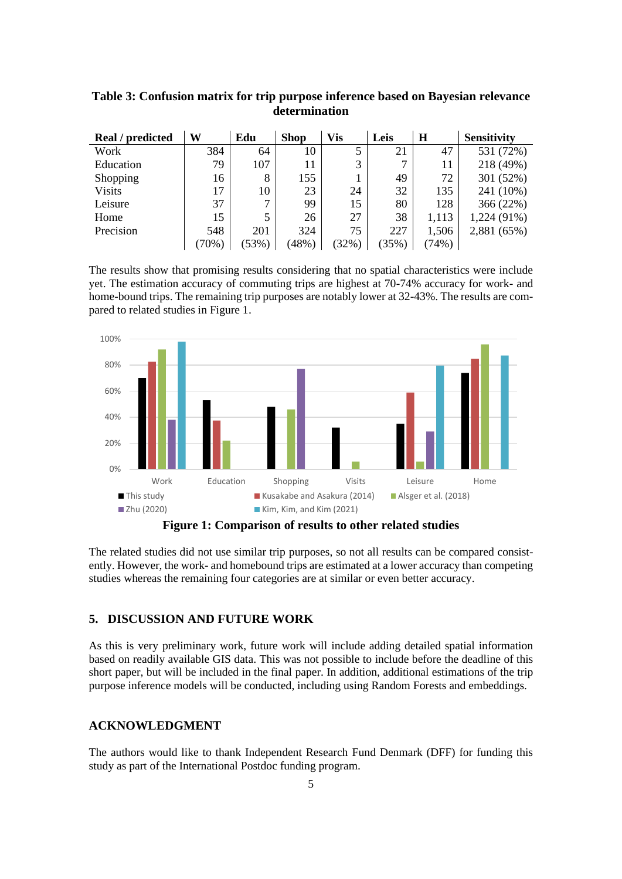| Real / predicted | W     | Edu      | <b>Shop</b> | <b>Vis</b> | Leis  | H     | <b>Sensitivity</b> |
|------------------|-------|----------|-------------|------------|-------|-------|--------------------|
| Work             | 384   | 64       | 10          |            | 21    | 47    | 531 (72%)          |
| Education        | 79    | 107      |             | 3          | ⇁     | 11    | 218 (49%)          |
| Shopping         | 16    | 8        | 155         |            | 49    | 72    | 301 (52%)          |
| <b>Visits</b>    | 17    | 10       | 23          | 24         | 32    | 135   | 241 (10%)          |
| Leisure          | 37    | ⇁        | 99          | 15         | 80    | 128   | 366(22%)           |
| Home             | 15    | 5        | 26          | 27         | 38    | 1,113 | 1,224 (91%)        |
| Precision        | 548   | 201      | 324         | 75         | 227   | 1,506 | 2,881 (65%)        |
|                  | (70%) | $(53\%)$ | (48%)       | $32\%$     | (35%) | (74%) |                    |

## **Table 3: Confusion matrix for trip purpose inference based on Bayesian relevance determination**

The results show that promising results considering that no spatial characteristics were include yet. The estimation accuracy of commuting trips are highest at 70-74% accuracy for work- and home-bound trips. The remaining trip purposes are notably lower at 32-43%. The results are compared to related studies in Figure 1.



The related studies did not use similar trip purposes, so not all results can be compared consistently. However, the work- and homebound trips are estimated at a lower accuracy than competing studies whereas the remaining four categories are at similar or even better accuracy.

## **5. DISCUSSION AND FUTURE WORK**

As this is very preliminary work, future work will include adding detailed spatial information based on readily available GIS data. This was not possible to include before the deadline of this short paper, but will be included in the final paper. In addition, additional estimations of the trip purpose inference models will be conducted, including using Random Forests and embeddings.

## **ACKNOWLEDGMENT**

The authors would like to thank Independent Research Fund Denmark (DFF) for funding this study as part of the International Postdoc funding program.